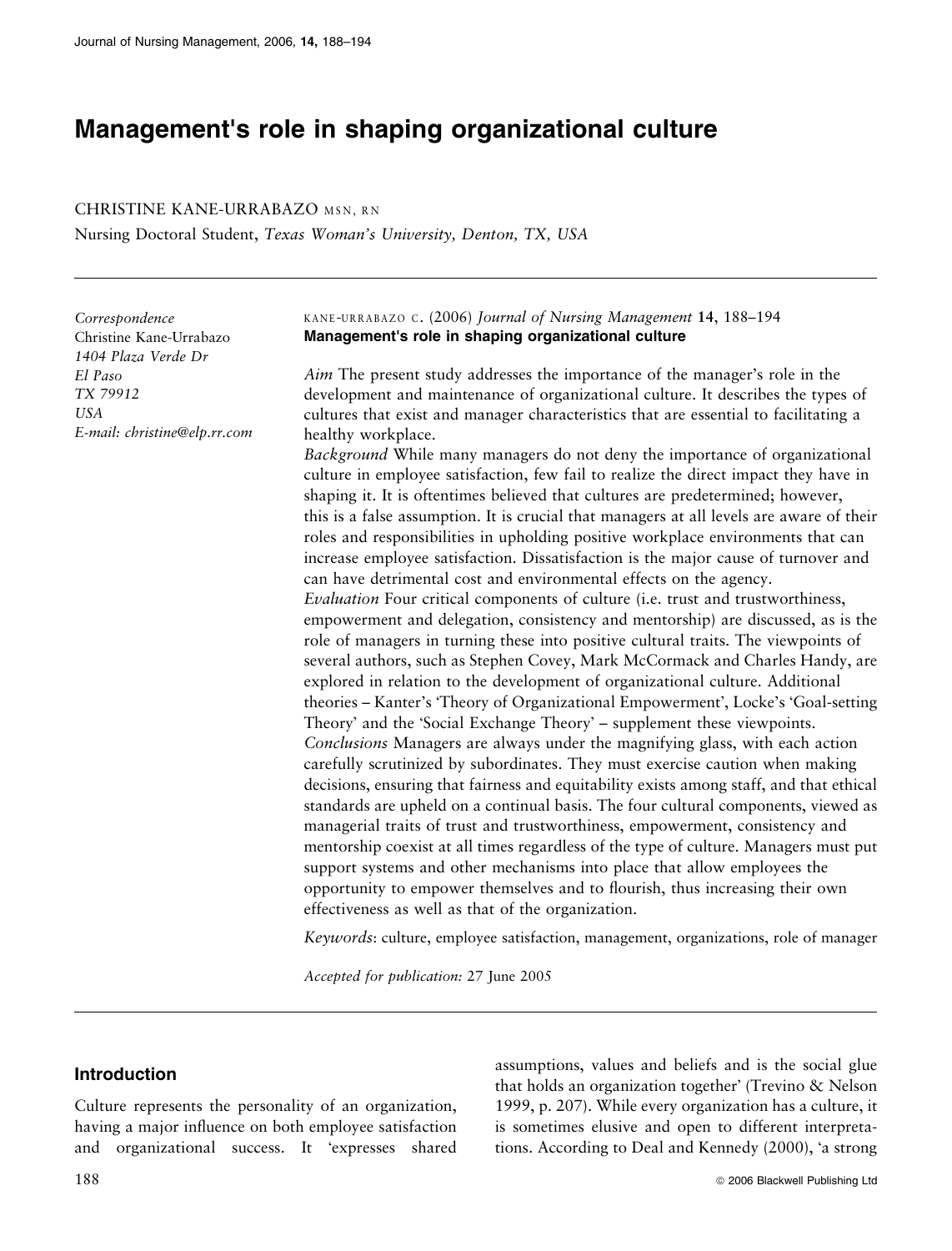# Management's role in shaping organizational culture

#### CHRISTINE KANE-URRABAZO MSN, RN

Nursing Doctoral Student, Texas Woman's University, Denton, TX, USA

Correspondence Christine Kane-Urrabazo 1404 Plaza Verde Dr El Paso TX 79912 USA E-mail: christine@elp.rr.com

#### KANE-URRABAZO C. (2006) Journal of Nursing Management 14, 188-194 Management's role in shaping organizational culture

Aim The present study addresses the importance of the manager's role in the development and maintenance of organizational culture. It describes the types of cultures that exist and manager characteristics that are essential to facilitating a healthy workplace.

Background While many managers do not deny the importance of organizational culture in employee satisfaction, few fail to realize the direct impact they have in shaping it. It is oftentimes believed that cultures are predetermined; however, this is a false assumption. It is crucial that managers at all levels are aware of their roles and responsibilities in upholding positive workplace environments that can increase employee satisfaction. Dissatisfaction is the major cause of turnover and can have detrimental cost and environmental effects on the agency. Evaluation Four critical components of culture (i.e. trust and trustworthiness, empowerment and delegation, consistency and mentorship) are discussed, as is the role of managers in turning these into positive cultural traits. The viewpoints of several authors, such as Stephen Covey, Mark McCormack and Charles Handy, are explored in relation to the development of organizational culture. Additional theories – Kanter's 'Theory of Organizational Empowerment', Locke's 'Goal-setting Theory' and the 'Social Exchange Theory' – supplement these viewpoints. Conclusions Managers are always under the magnifying glass, with each action carefully scrutinized by subordinates. They must exercise caution when making decisions, ensuring that fairness and equitability exists among staff, and that ethical standards are upheld on a continual basis. The four cultural components, viewed as managerial traits of trust and trustworthiness, empowerment, consistency and mentorship coexist at all times regardless of the type of culture. Managers must put support systems and other mechanisms into place that allow employees the opportunity to empower themselves and to flourish, thus increasing their own effectiveness as well as that of the organization.

Keywords: culture, employee satisfaction, management, organizations, role of manager

Accepted for publication: 27 June 2005

## Introduction

Culture represents the personality of an organization, having a major influence on both employee satisfaction and organizational success. It 'expresses shared assumptions, values and beliefs and is the social glue that holds an organization together' (Trevino & Nelson 1999, p. 207). While every organization has a culture, it is sometimes elusive and open to different interpretations. According to Deal and Kennedy (2000), 'a strong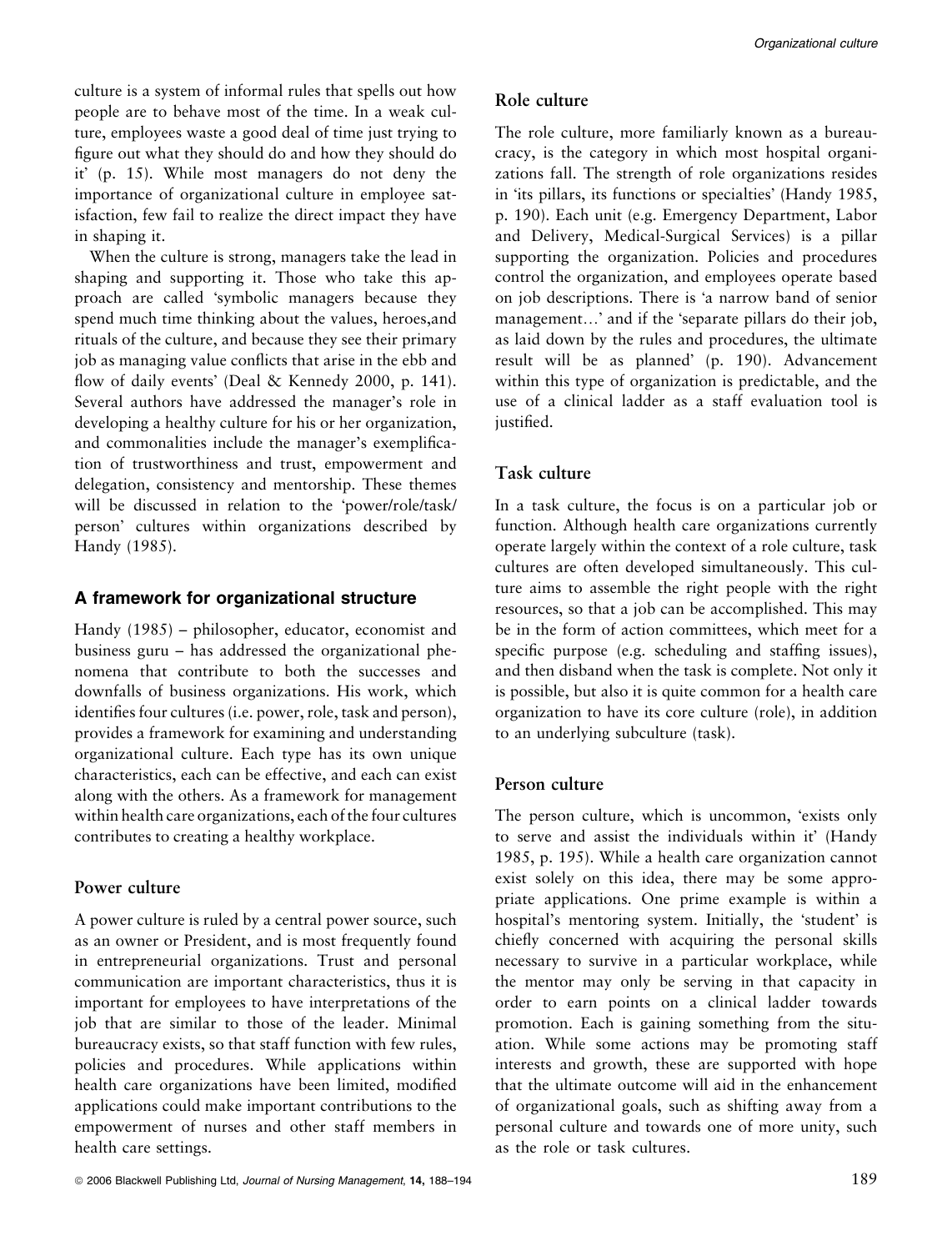culture is a system of informal rules that spells out how people are to behave most of the time. In a weak culture, employees waste a good deal of time just trying to figure out what they should do and how they should do it' (p. 15). While most managers do not deny the importance of organizational culture in employee satisfaction, few fail to realize the direct impact they have in shaping it.

When the culture is strong, managers take the lead in shaping and supporting it. Those who take this approach are called 'symbolic managers because they spend much time thinking about the values, heroes,and rituals of the culture, and because they see their primary job as managing value conflicts that arise in the ebb and flow of daily events' (Deal & Kennedy 2000, p. 141). Several authors have addressed the manager's role in developing a healthy culture for his or her organization, and commonalities include the manager's exemplification of trustworthiness and trust, empowerment and delegation, consistency and mentorship. These themes will be discussed in relation to the 'power/role/task/ person' cultures within organizations described by Handy (1985).

## A framework for organizational structure

Handy (1985) – philosopher, educator, economist and business guru – has addressed the organizational phenomena that contribute to both the successes and downfalls of business organizations. His work, which identifies four cultures (i.e. power, role, task and person), provides a framework for examining and understanding organizational culture. Each type has its own unique characteristics, each can be effective, and each can exist along with the others. As a framework for management within health care organizations, each of the four cultures contributes to creating a healthy workplace.

### Power culture

A power culture is ruled by a central power source, such as an owner or President, and is most frequently found in entrepreneurial organizations. Trust and personal communication are important characteristics, thus it is important for employees to have interpretations of the job that are similar to those of the leader. Minimal bureaucracy exists, so that staff function with few rules, policies and procedures. While applications within health care organizations have been limited, modified applications could make important contributions to the empowerment of nurses and other staff members in health care settings.

The role culture, more familiarly known as a bureaucracy, is the category in which most hospital organizations fall. The strength of role organizations resides in 'its pillars, its functions or specialties' (Handy 1985, p. 190). Each unit (e.g. Emergency Department, Labor and Delivery, Medical-Surgical Services) is a pillar supporting the organization. Policies and procedures control the organization, and employees operate based on job descriptions. There is 'a narrow band of senior management...' and if the 'separate pillars do their job, as laid down by the rules and procedures, the ultimate result will be as planned' (p. 190). Advancement within this type of organization is predictable, and the use of a clinical ladder as a staff evaluation tool is justified.

# Task culture

In a task culture, the focus is on a particular job or function. Although health care organizations currently operate largely within the context of a role culture, task cultures are often developed simultaneously. This culture aims to assemble the right people with the right resources, so that a job can be accomplished. This may be in the form of action committees, which meet for a specific purpose (e.g. scheduling and staffing issues), and then disband when the task is complete. Not only it is possible, but also it is quite common for a health care organization to have its core culture (role), in addition to an underlying subculture (task).

# Person culture

The person culture, which is uncommon, 'exists only to serve and assist the individuals within it' (Handy 1985, p. 195). While a health care organization cannot exist solely on this idea, there may be some appropriate applications. One prime example is within a hospital's mentoring system. Initially, the 'student' is chiefly concerned with acquiring the personal skills necessary to survive in a particular workplace, while the mentor may only be serving in that capacity in order to earn points on a clinical ladder towards promotion. Each is gaining something from the situation. While some actions may be promoting staff interests and growth, these are supported with hope that the ultimate outcome will aid in the enhancement of organizational goals, such as shifting away from a personal culture and towards one of more unity, such as the role or task cultures.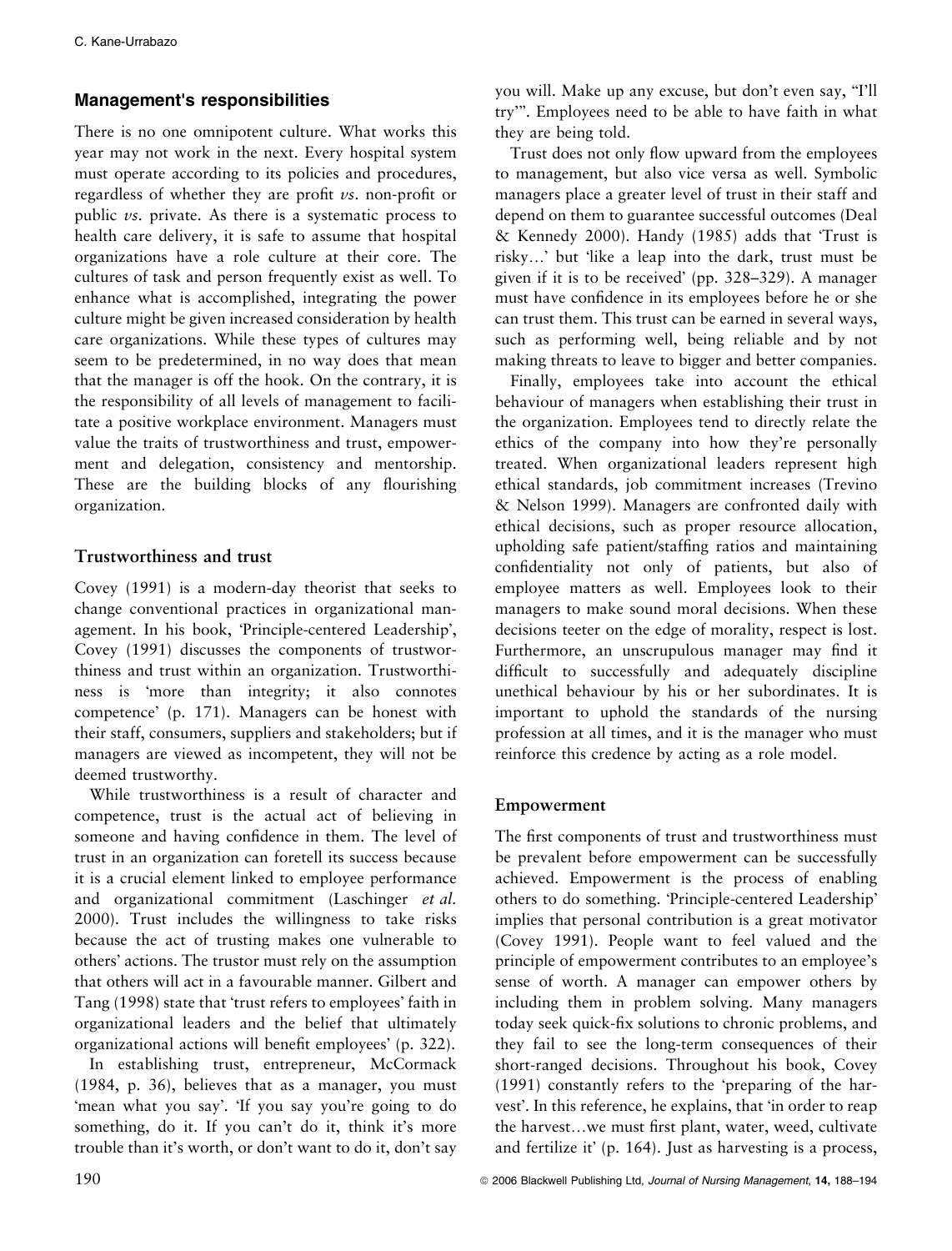# Management's responsibilities

There is no one omnipotent culture. What works this year may not work in the next. Every hospital system must operate according to its policies and procedures, regardless of whether they are profit vs. non-profit or public  $\nu$ s. private. As there is a systematic process to health care delivery, it is safe to assume that hospital organizations have a role culture at their core. The cultures of task and person frequently exist as well. To enhance what is accomplished, integrating the power culture might be given increased consideration by health care organizations. While these types of cultures may seem to be predetermined, in no way does that mean that the manager is off the hook. On the contrary, it is the responsibility of all levels of management to facilitate a positive workplace environment. Managers must value the traits of trustworthiness and trust, empowerment and delegation, consistency and mentorship. These are the building blocks of any flourishing organization.

## Trustworthiness and trust

Covey (1991) is a modern-day theorist that seeks to change conventional practices in organizational management. In his book, 'Principle-centered Leadership', Covey (1991) discusses the components of trustworthiness and trust within an organization. Trustworthiness is more than integrity; it also connotes competence' (p. 171). Managers can be honest with their staff, consumers, suppliers and stakeholders; but if managers are viewed as incompetent, they will not be deemed trustworthy.

While trustworthiness is a result of character and competence, trust is the actual act of believing in someone and having confidence in them. The level of trust in an organization can foretell its success because it is a crucial element linked to employee performance and organizational commitment (Laschinger et al. 2000). Trust includes the willingness to take risks because the act of trusting makes one vulnerable to others' actions. The trustor must rely on the assumption that others will act in a favourable manner. Gilbert and Tang (1998) state that 'trust refers to employees' faith in organizational leaders and the belief that ultimately organizational actions will benefit employees' (p. 322).

In establishing trust, entrepreneur, McCormack (1984, p. 36), believes that as a manager, you must mean what you say-. If you say you're going to do something, do it. If you can't do it, think it's more trouble than it's worth, or don't want to do it, don't say you will. Make up any excuse, but don't even say, "I'll try'". Employees need to be able to have faith in what they are being told.

Trust does not only flow upward from the employees to management, but also vice versa as well. Symbolic managers place a greater level of trust in their staff and depend on them to guarantee successful outcomes (Deal & Kennedy 2000). Handy (1985) adds that Trust is risky…- but like a leap into the dark, trust must be given if it is to be received' (pp. 328–329). A manager must have confidence in its employees before he or she can trust them. This trust can be earned in several ways, such as performing well, being reliable and by not making threats to leave to bigger and better companies.

Finally, employees take into account the ethical behaviour of managers when establishing their trust in the organization. Employees tend to directly relate the ethics of the company into how they're personally treated. When organizational leaders represent high ethical standards, job commitment increases (Trevino & Nelson 1999). Managers are confronted daily with ethical decisions, such as proper resource allocation, upholding safe patient/staffing ratios and maintaining confidentiality not only of patients, but also of employee matters as well. Employees look to their managers to make sound moral decisions. When these decisions teeter on the edge of morality, respect is lost. Furthermore, an unscrupulous manager may find it difficult to successfully and adequately discipline unethical behaviour by his or her subordinates. It is important to uphold the standards of the nursing profession at all times, and it is the manager who must reinforce this credence by acting as a role model.

### Empowerment

The first components of trust and trustworthiness must be prevalent before empowerment can be successfully achieved. Empowerment is the process of enabling others to do something. Principle-centered Leadership' implies that personal contribution is a great motivator (Covey 1991). People want to feel valued and the principle of empowerment contributes to an employee's sense of worth. A manager can empower others by including them in problem solving. Many managers today seek quick-fix solutions to chronic problems, and they fail to see the long-term consequences of their short-ranged decisions. Throughout his book, Covey  $(1991)$  constantly refers to the 'preparing of the harvest'. In this reference, he explains, that 'in order to reap the harvest…we must first plant, water, weed, cultivate and fertilize it' (p. 164). Just as harvesting is a process,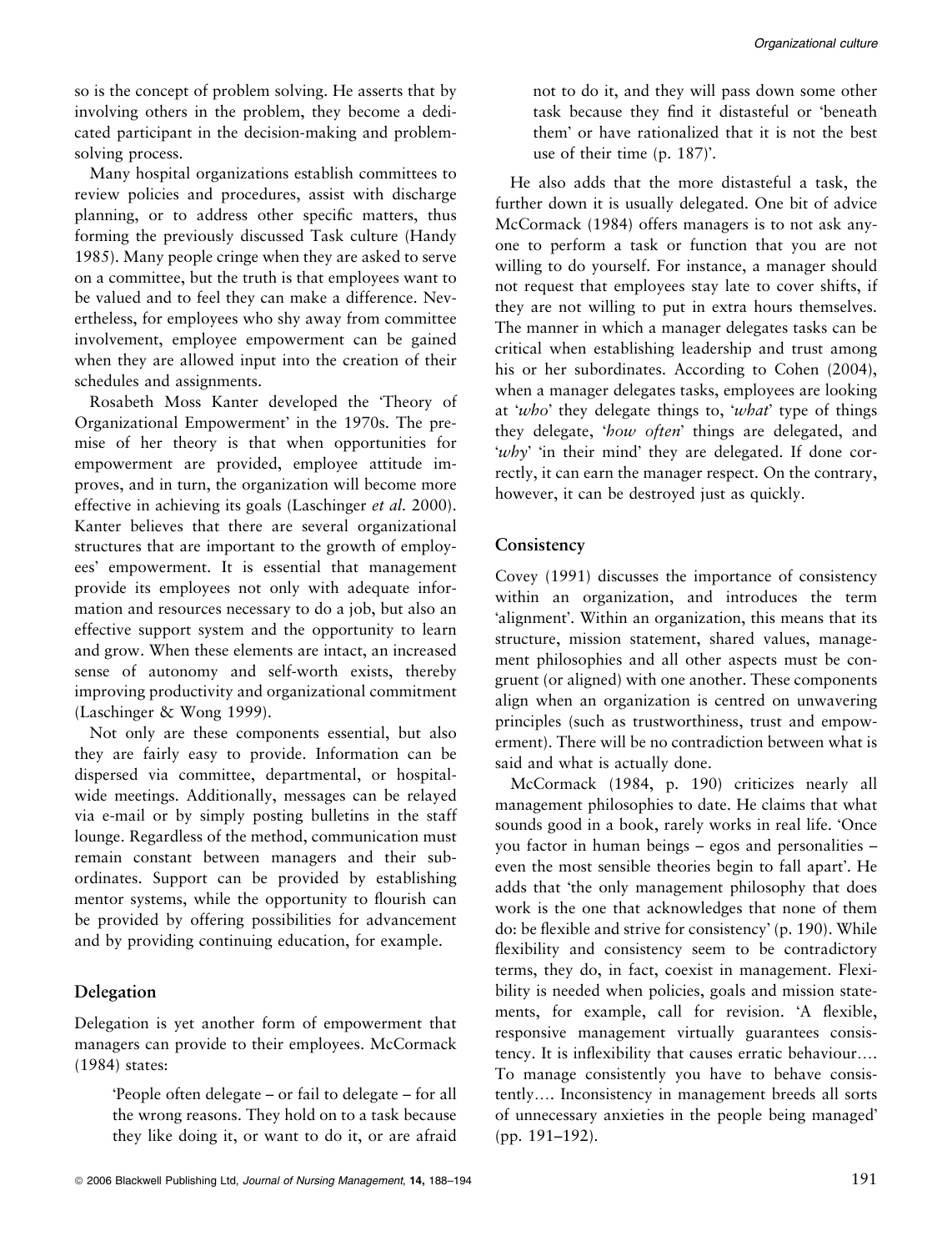so is the concept of problem solving. He asserts that by involving others in the problem, they become a dedicated participant in the decision-making and problemsolving process.

Many hospital organizations establish committees to review policies and procedures, assist with discharge planning, or to address other specific matters, thus forming the previously discussed Task culture (Handy 1985). Many people cringe when they are asked to serve on a committee, but the truth is that employees want to be valued and to feel they can make a difference. Nevertheless, for employees who shy away from committee involvement, employee empowerment can be gained when they are allowed input into the creation of their schedules and assignments.

Rosabeth Moss Kanter developed the Theory of Organizational Empowerment' in the 1970s. The premise of her theory is that when opportunities for empowerment are provided, employee attitude improves, and in turn, the organization will become more effective in achieving its goals (Laschinger et al. 2000). Kanter believes that there are several organizational structures that are important to the growth of employees' empowerment. It is essential that management provide its employees not only with adequate information and resources necessary to do a job, but also an effective support system and the opportunity to learn and grow. When these elements are intact, an increased sense of autonomy and self-worth exists, thereby improving productivity and organizational commitment (Laschinger & Wong 1999).

Not only are these components essential, but also they are fairly easy to provide. Information can be dispersed via committee, departmental, or hospitalwide meetings. Additionally, messages can be relayed via e-mail or by simply posting bulletins in the staff lounge. Regardless of the method, communication must remain constant between managers and their subordinates. Support can be provided by establishing mentor systems, while the opportunity to flourish can be provided by offering possibilities for advancement and by providing continuing education, for example.

# Delegation

Delegation is yet another form of empowerment that managers can provide to their employees. McCormack (1984) states:

People often delegate – or fail to delegate – for all the wrong reasons. They hold on to a task because they like doing it, or want to do it, or are afraid not to do it, and they will pass down some other task because they find it distasteful or beneath them' or have rationalized that it is not the best use of their time  $(p. 187)$ .

He also adds that the more distasteful a task, the further down it is usually delegated. One bit of advice McCormack (1984) offers managers is to not ask anyone to perform a task or function that you are not willing to do yourself. For instance, a manager should not request that employees stay late to cover shifts, if they are not willing to put in extra hours themselves. The manner in which a manager delegates tasks can be critical when establishing leadership and trust among his or her subordinates. According to Cohen (2004), when a manager delegates tasks, employees are looking at 'who' they delegate things to, 'what' type of things they delegate, 'how often' things are delegated, and 'why' 'in their mind' they are delegated. If done correctly, it can earn the manager respect. On the contrary, however, it can be destroyed just as quickly.

## **Consistency**

Covey (1991) discusses the importance of consistency within an organization, and introduces the term 'alignment'. Within an organization, this means that its structure, mission statement, shared values, management philosophies and all other aspects must be congruent (or aligned) with one another. These components align when an organization is centred on unwavering principles (such as trustworthiness, trust and empowerment). There will be no contradiction between what is said and what is actually done.

McCormack (1984, p. 190) criticizes nearly all management philosophies to date. He claims that what sounds good in a book, rarely works in real life. Once you factor in human beings – egos and personalities – even the most sensible theories begin to fall apart'. He adds that 'the only management philosophy that does work is the one that acknowledges that none of them do: be flexible and strive for consistency' (p. 190). While flexibility and consistency seem to be contradictory terms, they do, in fact, coexist in management. Flexibility is needed when policies, goals and mission statements, for example, call for revision. 'A flexible, responsive management virtually guarantees consistency. It is inflexibility that causes erratic behaviour…. To manage consistently you have to behave consistently…. Inconsistency in management breeds all sorts of unnecessary anxieties in the people being managed' (pp. 191–192).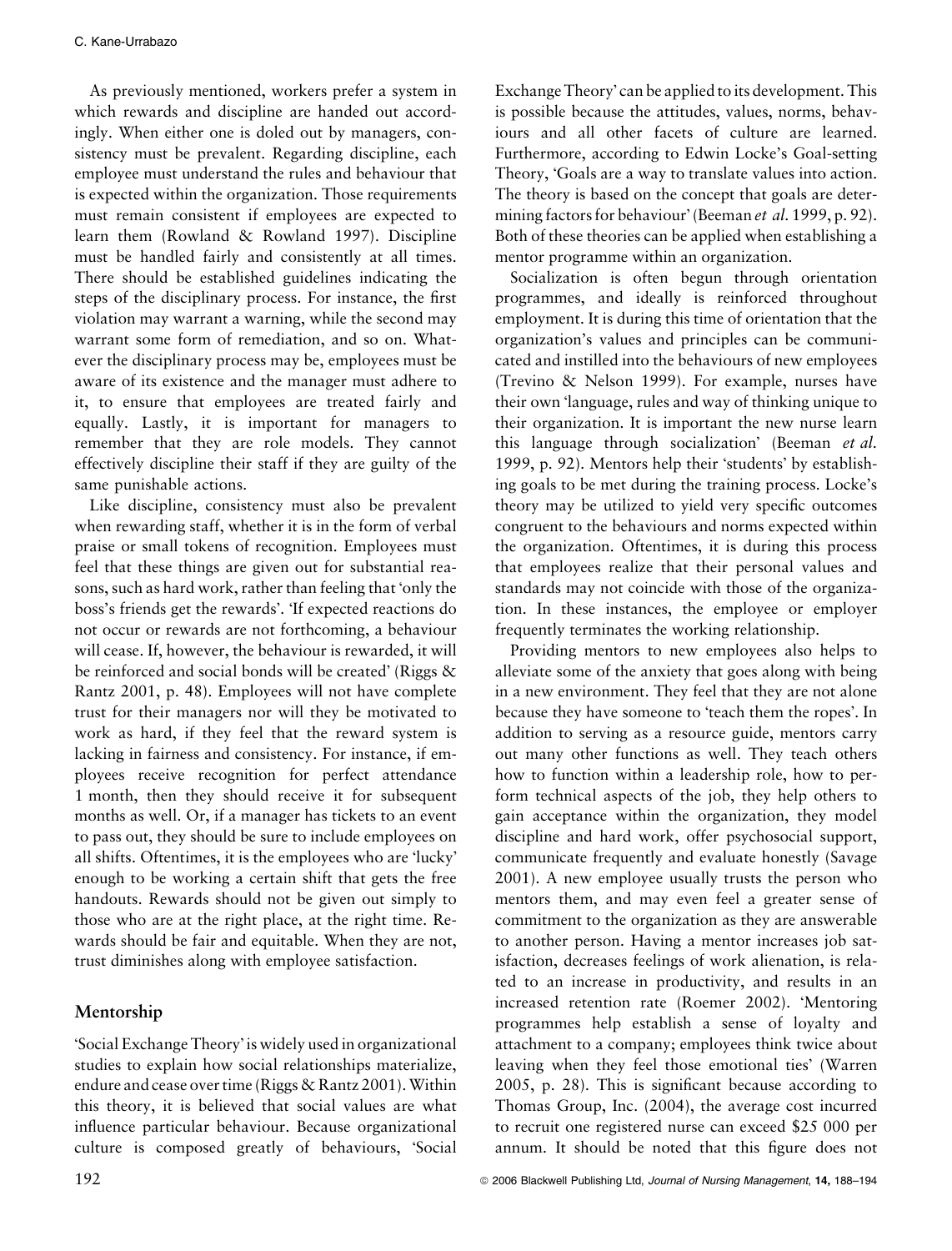As previously mentioned, workers prefer a system in which rewards and discipline are handed out accordingly. When either one is doled out by managers, consistency must be prevalent. Regarding discipline, each employee must understand the rules and behaviour that is expected within the organization. Those requirements must remain consistent if employees are expected to learn them (Rowland & Rowland 1997). Discipline must be handled fairly and consistently at all times. There should be established guidelines indicating the steps of the disciplinary process. For instance, the first violation may warrant a warning, while the second may warrant some form of remediation, and so on. Whatever the disciplinary process may be, employees must be aware of its existence and the manager must adhere to it, to ensure that employees are treated fairly and equally. Lastly, it is important for managers to remember that they are role models. They cannot effectively discipline their staff if they are guilty of the same punishable actions.

Like discipline, consistency must also be prevalent when rewarding staff, whether it is in the form of verbal praise or small tokens of recognition. Employees must feel that these things are given out for substantial reasons, such as hard work, rather than feeling that 'only the boss's friends get the rewards'. 'If expected reactions do not occur or rewards are not forthcoming, a behaviour will cease. If, however, the behaviour is rewarded, it will be reinforced and social bonds will be created' (Riggs  $\&$ Rantz 2001, p. 48). Employees will not have complete trust for their managers nor will they be motivated to work as hard, if they feel that the reward system is lacking in fairness and consistency. For instance, if employees receive recognition for perfect attendance 1 month, then they should receive it for subsequent months as well. Or, if a manager has tickets to an event to pass out, they should be sure to include employees on all shifts. Oftentimes, it is the employees who are 'lucky' enough to be working a certain shift that gets the free handouts. Rewards should not be given out simply to those who are at the right place, at the right time. Rewards should be fair and equitable. When they are not, trust diminishes along with employee satisfaction.

#### Mentorship

'Social Exchange Theory' is widely used in organizational studies to explain how social relationships materialize, endure and cease over time (Riggs & Rantz 2001). Within this theory, it is believed that social values are what influence particular behaviour. Because organizational culture is composed greatly of behaviours, 'Social

Exchange Theory' can be applied to its development. This is possible because the attitudes, values, norms, behaviours and all other facets of culture are learned. Furthermore, according to Edwin Locke's Goal-setting Theory, Goals are a way to translate values into action. The theory is based on the concept that goals are determining factors for behaviour' (Beeman *et al.* 1999, p. 92). Both of these theories can be applied when establishing a mentor programme within an organization.

Socialization is often begun through orientation programmes, and ideally is reinforced throughout employment. It is during this time of orientation that the organization's values and principles can be communicated and instilled into the behaviours of new employees (Trevino & Nelson 1999). For example, nurses have their own language, rules and way of thinking unique to their organization. It is important the new nurse learn this language through socialization' (Beeman et al. 1999, p. 92). Mentors help their 'students' by establishing goals to be met during the training process. Locke's theory may be utilized to yield very specific outcomes congruent to the behaviours and norms expected within the organization. Oftentimes, it is during this process that employees realize that their personal values and standards may not coincide with those of the organization. In these instances, the employee or employer frequently terminates the working relationship.

Providing mentors to new employees also helps to alleviate some of the anxiety that goes along with being in a new environment. They feel that they are not alone because they have someone to 'teach them the ropes'. In addition to serving as a resource guide, mentors carry out many other functions as well. They teach others how to function within a leadership role, how to perform technical aspects of the job, they help others to gain acceptance within the organization, they model discipline and hard work, offer psychosocial support, communicate frequently and evaluate honestly (Savage 2001). A new employee usually trusts the person who mentors them, and may even feel a greater sense of commitment to the organization as they are answerable to another person. Having a mentor increases job satisfaction, decreases feelings of work alienation, is related to an increase in productivity, and results in an increased retention rate (Roemer 2002). Mentoring programmes help establish a sense of loyalty and attachment to a company; employees think twice about leaving when they feel those emotional ties' (Warren 2005, p. 28). This is significant because according to Thomas Group, Inc. (2004), the average cost incurred to recruit one registered nurse can exceed \$25 000 per annum. It should be noted that this figure does not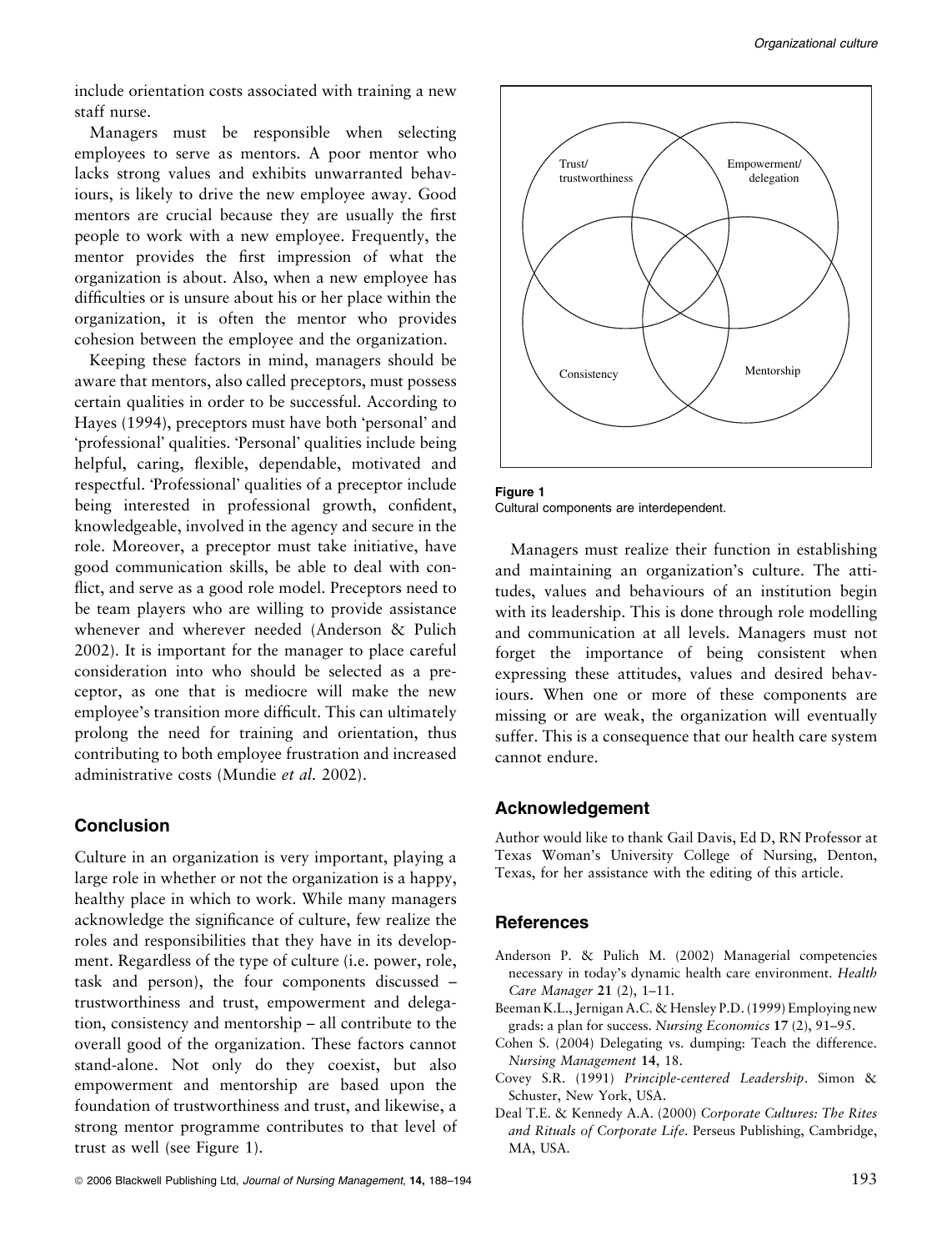include orientation costs associated with training a new staff nurse.

Managers must be responsible when selecting employees to serve as mentors. A poor mentor who lacks strong values and exhibits unwarranted behaviours, is likely to drive the new employee away. Good mentors are crucial because they are usually the first people to work with a new employee. Frequently, the mentor provides the first impression of what the organization is about. Also, when a new employee has difficulties or is unsure about his or her place within the organization, it is often the mentor who provides cohesion between the employee and the organization.

Keeping these factors in mind, managers should be aware that mentors, also called preceptors, must possess certain qualities in order to be successful. According to Hayes (1994), preceptors must have both 'personal' and 'professional' qualities. 'Personal' qualities include being helpful, caring, flexible, dependable, motivated and respectful. 'Professional' qualities of a preceptor include being interested in professional growth, confident, knowledgeable, involved in the agency and secure in the role. Moreover, a preceptor must take initiative, have good communication skills, be able to deal with conflict, and serve as a good role model. Preceptors need to be team players who are willing to provide assistance whenever and wherever needed (Anderson & Pulich 2002). It is important for the manager to place careful consideration into who should be selected as a preceptor, as one that is mediocre will make the new employee's transition more difficult. This can ultimately prolong the need for training and orientation, thus contributing to both employee frustration and increased administrative costs (Mundie et al. 2002).

#### Conclusion

Culture in an organization is very important, playing a large role in whether or not the organization is a happy, healthy place in which to work. While many managers acknowledge the significance of culture, few realize the roles and responsibilities that they have in its development. Regardless of the type of culture (i.e. power, role, task and person), the four components discussed – trustworthiness and trust, empowerment and delegation, consistency and mentorship – all contribute to the overall good of the organization. These factors cannot stand-alone. Not only do they coexist, but also empowerment and mentorship are based upon the foundation of trustworthiness and trust, and likewise, a strong mentor programme contributes to that level of trust as well (see Figure 1).



Figure 1 Cultural components are interdependent.

Managers must realize their function in establishing and maintaining an organization's culture. The attitudes, values and behaviours of an institution begin with its leadership. This is done through role modelling and communication at all levels. Managers must not forget the importance of being consistent when expressing these attitudes, values and desired behaviours. When one or more of these components are missing or are weak, the organization will eventually suffer. This is a consequence that our health care system cannot endure.

#### Acknowledgement

Author would like to thank Gail Davis, Ed D, RN Professor at Texas Woman's University College of Nursing, Denton, Texas, for her assistance with the editing of this article.

### **References**

- Anderson P. & Pulich M. (2002) Managerial competencies necessary in today's dynamic health care environment. Health Care Manager 21 (2), 1–11.
- Beeman K.L., Jernigan A.C. & Hensley P.D. (1999) Employing new grads: a plan for success. Nursing Economics 17 (2), 91–95.
- Cohen S. (2004) Delegating vs. dumping: Teach the difference. Nursing Management 14, 18.
- Covey S.R. (1991) Principle-centered Leadership. Simon & Schuster, New York, USA.
- Deal T.E. & Kennedy A.A. (2000) Corporate Cultures: The Rites and Rituals of Corporate Life. Perseus Publishing, Cambridge, MA, USA.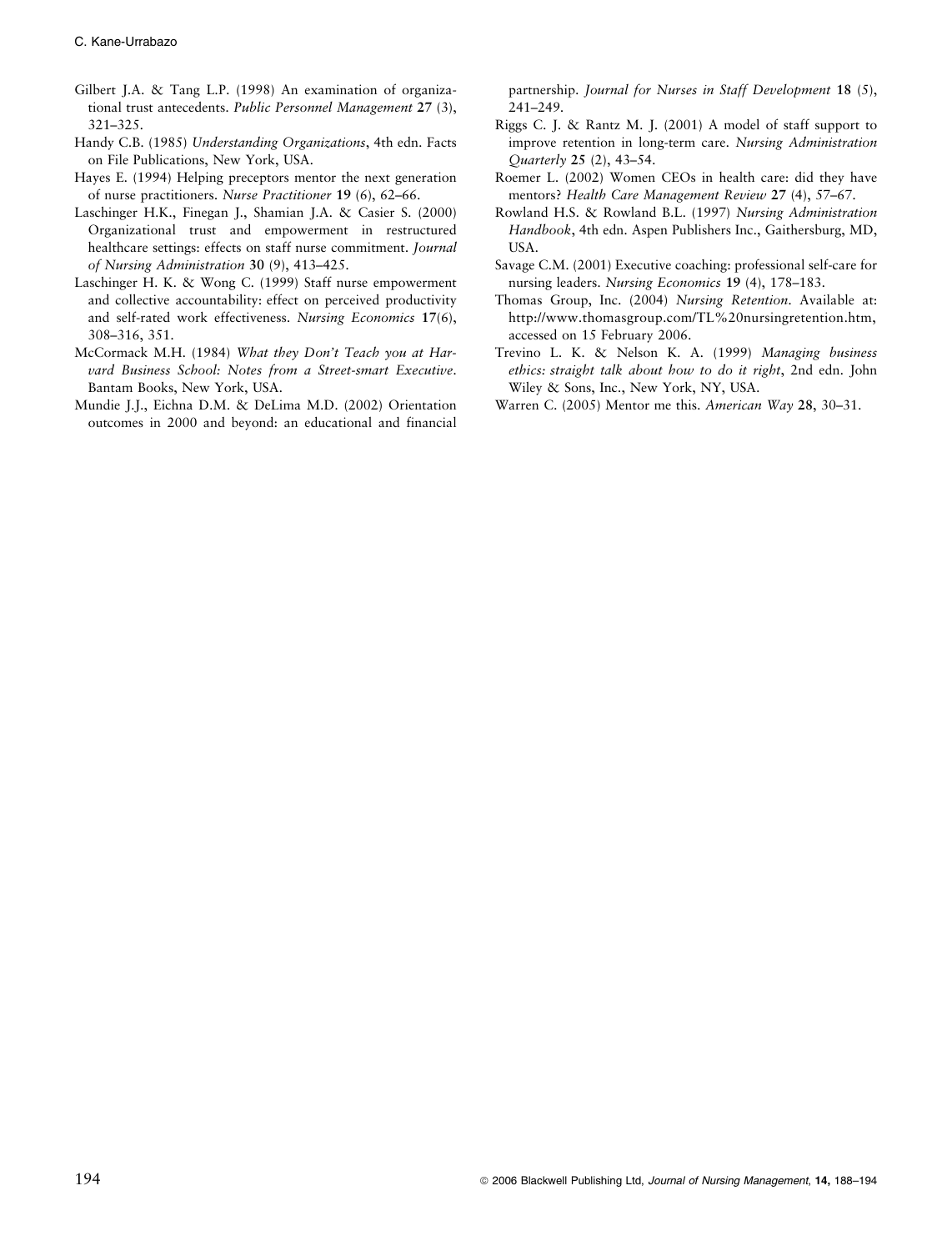- Gilbert J.A. & Tang L.P. (1998) An examination of organizational trust antecedents. Public Personnel Management 27 (3), 321–325.
- Handy C.B. (1985) Understanding Organizations, 4th edn. Facts on File Publications, New York, USA.
- Hayes E. (1994) Helping preceptors mentor the next generation of nurse practitioners. Nurse Practitioner 19 (6), 62–66.
- Laschinger H.K., Finegan J., Shamian J.A. & Casier S. (2000) Organizational trust and empowerment in restructured healthcare settings: effects on staff nurse commitment. Journal of Nursing Administration 30 (9), 413–425.
- Laschinger H. K. & Wong C. (1999) Staff nurse empowerment and collective accountability: effect on perceived productivity and self-rated work effectiveness. Nursing Economics 17(6), 308–316, 351.
- McCormack M.H. (1984) What they Don't Teach you at Harvard Business School: Notes from a Street-smart Executive. Bantam Books, New York, USA.
- Mundie J.J., Eichna D.M. & DeLima M.D. (2002) Orientation outcomes in 2000 and beyond: an educational and financial

partnership. Journal for Nurses in Staff Development 18 (5), 241–249.

- Riggs C. J. & Rantz M. J. (2001) A model of staff support to improve retention in long-term care. Nursing Administration Quarterly 25 (2), 43–54.
- Roemer L. (2002) Women CEOs in health care: did they have mentors? Health Care Management Review 27 (4), 57–67.
- Rowland H.S. & Rowland B.L. (1997) Nursing Administration Handbook, 4th edn. Aspen Publishers Inc., Gaithersburg, MD, USA.
- Savage C.M. (2001) Executive coaching: professional self-care for nursing leaders. Nursing Economics 19 (4), 178–183.
- Thomas Group, Inc. (2004) Nursing Retention. Available at: http://www.thomasgroup.com/TL%20nursingretention.htm, accessed on 15 February 2006.
- Trevino L. K. & Nelson K. A. (1999) Managing business ethics: straight talk about how to do it right, 2nd edn. John Wiley & Sons, Inc., New York, NY, USA.
- Warren C. (2005) Mentor me this. American Way 28, 30–31.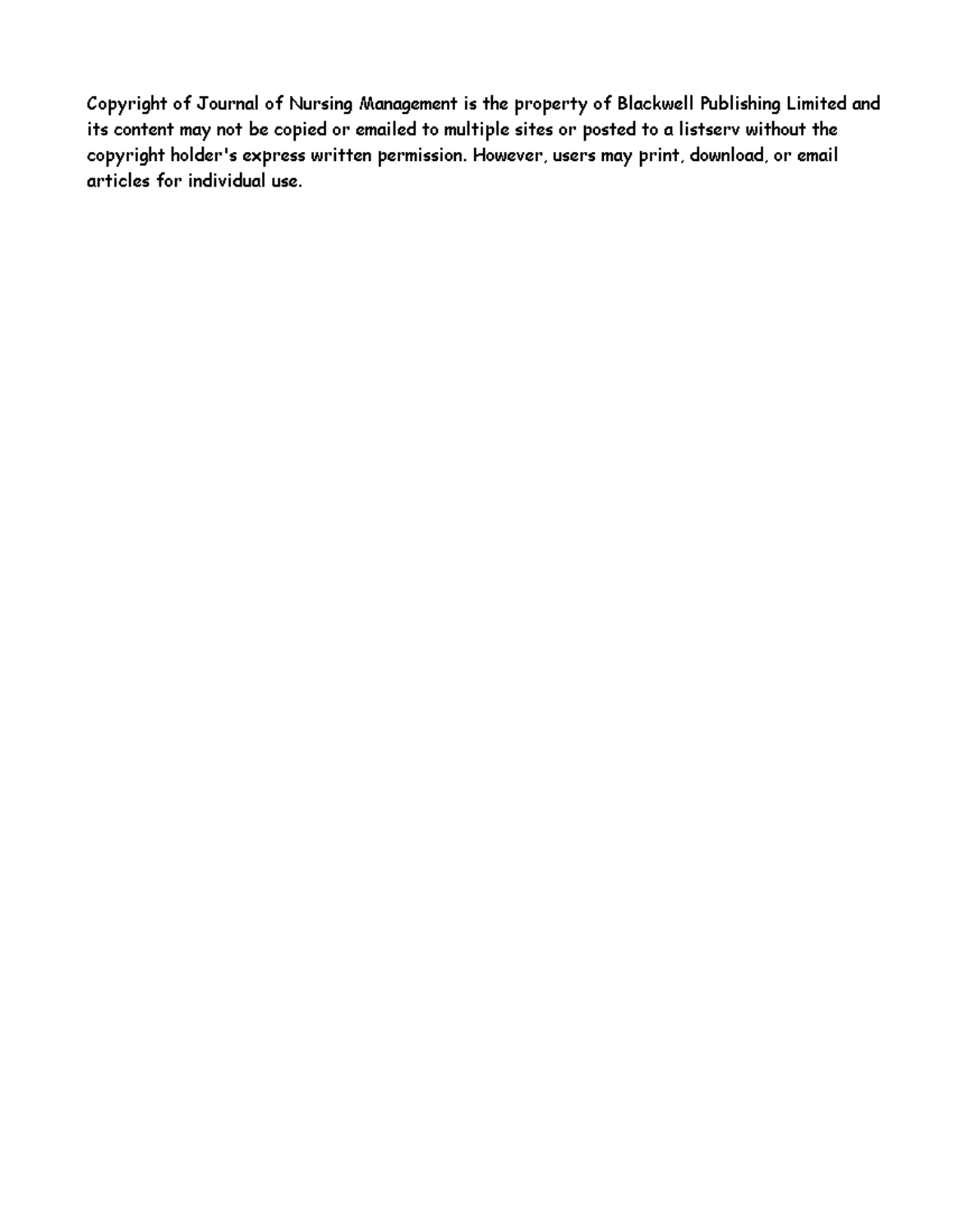Copyright of Journal of Nursing Management is the property of Blackwell Publishing Limited and its content may not be copied or emailed to multiple sites or posted to a listserv without the copyright holder's express written permission. However, users may print, download, or email articles for individual use.